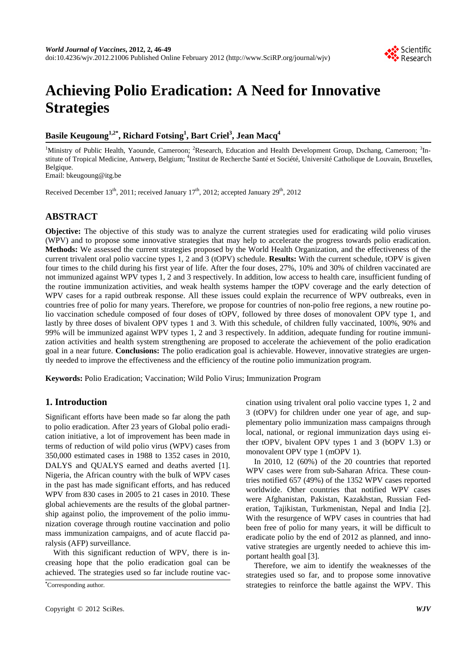

# **Achieving Polio Eradication: A Need for Innovative Strategies**

## **Basile Keugoung1,2\*, Richard Fotsing1 , Bart Criel3 , Jean Macq4**

<sup>1</sup>Ministry of Public Health, Yaounde, Cameroon; <sup>2</sup>Research, Education and Health Development Group, Dschang, Cameroon; <sup>3</sup>Institute of Tropical Medicine, Antwerp, Belgium; <sup>4</sup>Institut de Recherche Santé et Société, Université Catholique de Louvain, Bruxelles, Belgique.

Email: bkeugoung@itg.be

Received December  $13<sup>th</sup>$ , 2011; received January  $17<sup>th</sup>$ , 2012; accepted January  $29<sup>th</sup>$ , 2012

## **ABSTRACT**

**Objective:** The objective of this study was to analyze the current strategies used for eradicating wild polio viruses (WPV) and to propose some innovative strategies that may help to accelerate the progress towards polio eradication. **Methods:** We assessed the current strategies proposed by the World Health Organization, and the effectiveness of the current trivalent oral polio vaccine types 1, 2 and 3 (tOPV) schedule. **Results:** With the current schedule, tOPV is given four times to the child during his first year of life. After the four doses, 27%, 10% and 30% of children vaccinated are not immunized against WPV types 1, 2 and 3 respectively. In addition, low access to health care, insufficient funding of the routine immunization activities, and weak health systems hamper the tOPV coverage and the early detection of WPV cases for a rapid outbreak response. All these issues could explain the recurrence of WPV outbreaks, even in countries free of polio for many years. Therefore, we propose for countries of non-polio free regions, a new routine polio vaccination schedule composed of four doses of tOPV, followed by three doses of monovalent OPV type 1, and lastly by three doses of bivalent OPV types 1 and 3. With this schedule, of children fully vaccinated, 100%, 90% and 99% will be immunized against WPV types 1, 2 and 3 respectively. In addition, adequate funding for routine immunization activities and health system strengthening are proposed to accelerate the achievement of the polio eradication goal in a near future. **Conclusions:** The polio eradication goal is achievable. However, innovative strategies are urgently needed to improve the effectiveness and the efficiency of the routine polio immunization program.

**Keywords:** Polio Eradication; Vaccination; Wild Polio Virus; Immunization Program

### **1. Introduction**

Significant efforts have been made so far along the path to polio eradication. After 23 years of Global polio eradication initiative, a lot of improvement has been made in terms of reduction of wild polio virus (WPV) cases from 350,000 estimated cases in 1988 to 1352 cases in 2010, DALYS and QUALYS earned and deaths averted [1]. Nigeria, the African country with the bulk of WPV cases in the past has made significant efforts, and has reduced WPV from 830 cases in 2005 to 21 cases in 2010. These global achievements are the results of the global partnership against polio, the improvement of the polio immunization coverage through routine vaccination and polio mass immunization campaigns, and of acute flaccid paralysis (AFP) surveillance.

With this significant reduction of WPV, there is increasing hope that the polio eradication goal can be achieved. The strategies used so far include routine vac-

Corresponding author.

cination using trivalent oral polio vaccine types 1, 2 and 3 (tOPV) for children under one year of age, and supplementary polio immunization mass campaigns through local, national, or regional immunization days using either tOPV, bivalent OPV types 1 and 3 (bOPV 1.3) or monovalent OPV type 1 (mOPV 1).

In 2010, 12 (60%) of the 20 countries that reported WPV cases were from sub-Saharan Africa. These countries notified 657 (49%) of the 1352 WPV cases reported worldwide. Other countries that notified WPV cases were Afghanistan, Pakistan, Kazakhstan, Russian Federation, Tajikistan, Turkmenistan, Nepal and India [2]. With the resurgence of WPV cases in countries that had been free of polio for many years, it will be difficult to eradicate polio by the end of 2012 as planned, and innovative strategies are urgently needed to achieve this important health goal [3].

Therefore, we aim to identify the weaknesses of the strategies used so far, and to propose some innovative strategies to reinforce the battle against the WPV. This **\***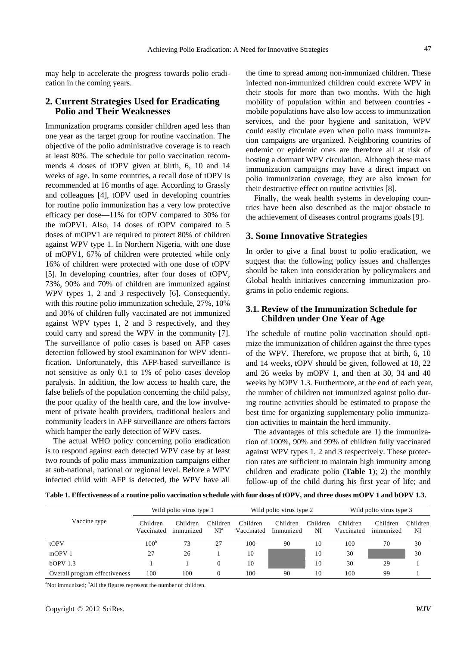may help to accelerate the progress towards polio eradication in the coming years.

#### **2. Current Strategies Used for Eradicating Polio and Their Weaknesses**

Immunization programs consider children aged less than one year as the target group for routine vaccination. The objective of the polio administrative coverage is to reach at least 80%. The schedule for polio vaccination recommends 4 doses of tOPV given at birth, 6, 10 and 14 weeks of age. In some countries, a recall dose of tOPV is recommended at 16 months of age. According to Grassly and colleagues [4], tOPV used in developing countries for routine polio immunization has a very low protective efficacy per dose—11% for tOPV compared to 30% for the mOPV1. Also, 14 doses of tOPV compared to 5 doses of mOPV1 are required to protect 80% of children against WPV type 1. In Northern Nigeria, with one dose of mOPV1, 67% of children were protected while only 16% of children were protected with one dose of tOPV [5]. In developing countries, after four doses of tOPV, 73%, 90% and 70% of children are immunized against WPV types 1, 2 and 3 respectively [6]. Consequently, with this routine polio immunization schedule, 27%, 10% and 30% of children fully vaccinated are not immunized against WPV types 1, 2 and 3 respectively, and they could carry and spread the WPV in the community [7]. The surveillance of polio cases is based on AFP cases detection followed by stool examination for WPV identification. Unfortunately, this AFP-based surveillance is not sensitive as only 0.1 to 1% of polio cases develop paralysis. In addition, the low access to health care, the false beliefs of the population concerning the child palsy, the poor quality of the health care, and the low involvement of private health providers, traditional healers and community leaders in AFP surveillance are others factors which hamper the early detection of WPV cases.

The actual WHO policy concerning polio eradication is to respond against each detected WPV case by at least two rounds of polio mass immunization campaigns either at sub-national, national or regional level. Before a WPV infected child with AFP is detected, the WPV have all

the time to spread among non-immunized children. These infected non-immunized children could excrete WPV in their stools for more than two months. With the high mobility of population within and between countries mobile populations have also low access to immunization services, and the poor hygiene and sanitation, WPV could easily circulate even when polio mass immunization campaigns are organized. Neighboring countries of endemic or epidemic ones are therefore all at risk of hosting a dormant WPV circulation. Although these mass immunization campaigns may have a direct impact on polio immunization coverage, they are also known for their destructive effect on routine activities [8].

Finally, the weak health systems in developing countries have been also described as the major obstacle to the achievement of diseases control programs goals [9].

#### **3. Some Innovative Strategies**

In order to give a final boost to polio eradication, we suggest that the following policy issues and challenges should be taken into consideration by policymakers and Global health initiatives concerning immunization programs in polio endemic regions.

#### **3.1. Review of the Immunization Schedule for Children under One Year of Age**

The schedule of routine polio vaccination should optimize the immunization of children against the three types of the WPV. Therefore, we propose that at birth, 6, 10 and 14 weeks, tOPV should be given, followed at 18, 22 and 26 weeks by mOPV 1, and then at 30, 34 and 40 weeks by bOPV 1.3. Furthermore, at the end of each year, the number of children not immunized against polio during routine activities should be estimated to propose the best time for organizing supplementary polio immunization activities to maintain the herd immunity.

The advantages of this schedule are 1) the immunization of 100%, 90% and 99% of children fully vaccinated against WPV types 1, 2 and 3 respectively. These protection rates are sufficient to maintain high immunity among children and eradicate polio (**Table 1**); 2) the monthly follow-up of the child during his first year of life; and

**Table 1. Effectiveness of a routine polio vaccination schedule with four doses of tOPV, and three doses mOPV 1 and bOPV 1.3.** 

| Vaccine type                  | Wild polio virus type 1 |                       |                    | Wild polio virus type 2 |                       |                | Wild polio virus type 3 |                       |                |
|-------------------------------|-------------------------|-----------------------|--------------------|-------------------------|-----------------------|----------------|-------------------------|-----------------------|----------------|
|                               | Children<br>Vaccinated  | Children<br>immunized | Children<br>$NI^a$ | Children<br>Vaccinated  | Children<br>Immunized | Children<br>NI | Children<br>Vaccinated  | Children<br>immunized | Children<br>NI |
| tOPV                          | 100 <sup>b</sup>        | 73                    | 27                 | 100                     | 90                    | 10             | 100                     | 70                    | 30             |
| mOPV <sub>1</sub>             | 27                      | 26                    |                    | 10                      |                       | 10             | 30                      |                       | 30             |
| $hOPV$ 1.3                    |                         |                       | $\Omega$           | 10                      |                       | 10             | 30                      | 29                    |                |
| Overall program effectiveness | 100                     | 100                   |                    | 100                     | 90                    | 10             | 100                     | 99                    |                |

<sup>a</sup>Not immunized; <sup>b</sup>All the figures represent the number of children.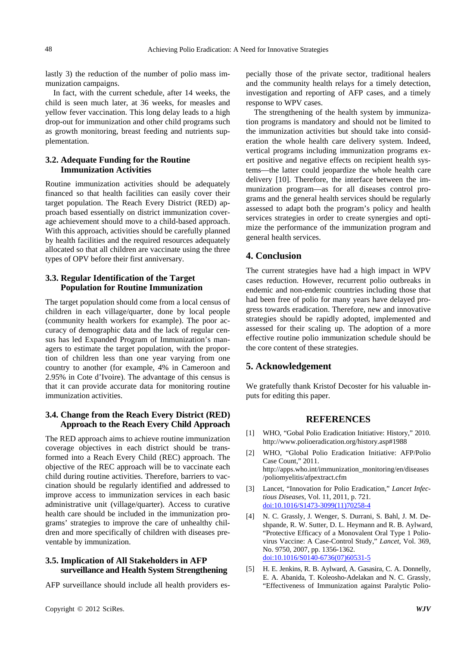lastly 3) the reduction of the number of polio mass immunization campaigns.

In fact, with the current schedule, after 14 weeks, the child is seen much later, at 36 weeks, for measles and yellow fever vaccination. This long delay leads to a high drop-out for immunization and other child programs such as growth monitoring, breast feeding and nutrients supplementation.

#### **3.2. Adequate Funding for the Routine Immunization Activities**

Routine immunization activities should be adequately financed so that health facilities can easily cover their target population. The Reach Every District (RED) approach based essentially on district immunization coverage achievement should move to a child-based approach. With this approach, activities should be carefully planned by health facilities and the required resources adequately allocated so that all children are vaccinate using the three types of OPV before their first anniversary.

#### **3.3. Regular Identification of the Target Population for Routine Immunization**

The target population should come from a local census of children in each village/quarter, done by local people (community health workers for example). The poor accuracy of demographic data and the lack of regular census has led Expanded Program of Immunization's managers to estimate the target population, with the proportion of children less than one year varying from one country to another (for example, 4% in Cameroon and 2.95% in Cote d'Ivoire). The advantage of this census is that it can provide accurate data for monitoring routine immunization activities.

#### **3.4. Change from the Reach Every District (RED) Approach to the Reach Every Child Approach**

The RED approach aims to achieve routine immunization coverage objectives in each district should be transformed into a Reach Every Child (REC) approach. The objective of the REC approach will be to vaccinate each child during routine activities. Therefore, barriers to vaccination should be regularly identified and addressed to improve access to immunization services in each basic administrative unit (village/quarter). Access to curative health care should be included in the immunization programs' strategies to improve the care of unhealthy children and more specifically of children with diseases preventable by immunization.

#### **3.5. Implication of All Stakeholders in AFP surveillance and Health System Strengthening**

AFP surveillance should include all health providers es-

pecially those of the private sector, traditional healers and the community health relays for a timely detection, investigation and reporting of AFP cases, and a timely response to WPV cases.

The strengthening of the health system by immunization programs is mandatory and should not be limited to the immunization activities but should take into consideration the whole health care delivery system. Indeed, vertical programs including immunization programs exert positive and negative effects on recipient health systems—the latter could jeopardize the whole health care delivery [10]. Therefore, the interface between the immunization program—as for all diseases control programs and the general health services should be regularly assessed to adapt both the program's policy and health services strategies in order to create synergies and optimize the performance of the immunization program and general health services.

#### **4. Conclusion**

The current strategies have had a high impact in WPV cases reduction. However, recurrent polio outbreaks in endemic and non-endemic countries including those that had been free of polio for many years have delayed progress towards eradication. Therefore, new and innovative strategies should be rapidly adopted, implemented and assessed for their scaling up. The adoption of a more effective routine polio immunization schedule should be the core content of these strategies.

#### **5. Acknowledgement**

We gratefully thank Kristof Decoster for his valuable inputs for editing this paper.

#### **REFERENCES**

- [1] WHO, "Gobal Polio Eradication Initiative: History," 2010. http://www.polioeradication.org/history.asp#1988
- [2] WHO, "Global Polio Eradication Initiative: AFP/Polio Case Count," 2011. http://apps.who.int/immunization\_monitoring/en/diseases /poliomyelitis/afpextract.cfm
- [3] Lancet, "Innovation for Polio Eradication," *Lancet Infectious Diseases*, Vol. 11, 2011, p. 721. [doi:10.1016/S1473-3099\(11\)70258-4](http://dx.doi.org/10.1016/S1473-3099(11)70258-4)
- [4] N. C. Grassly, J. Wenger, S. Durrani, S. Bahl, J. M. Deshpande, R. W. Sutter, D. L. Heymann and R. B. Aylward, "Protective Efficacy of a Monovalent Oral Type 1 Poliovirus Vaccine: A Case-Control Study," *Lancet*, Vol. 369, No. 9750, 2007, pp. 1356-1362. [doi:10.1016/S0140-6736\(07\)60531-5](http://dx.doi.org/10.1016/S0140-6736(07)60531-5)
- [5] H. E. Jenkins, R. B. Aylward, A. Gasasira, C. A. Donnelly, E. A. Abanida, T. Koleosho-Adelakan and N. C. Grassly, "Effectiveness of Immunization against Paralytic Polio-